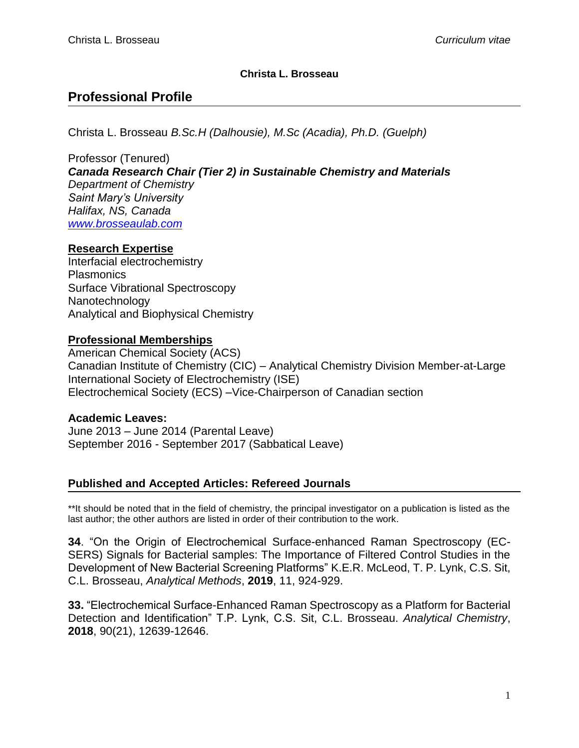### **Christa L. Brosseau**

# **Professional Profile**

Christa L. Brosseau *B.Sc.H (Dalhousie), M.Sc (Acadia), Ph.D. (Guelph)*

Professor (Tenured) *Canada Research Chair (Tier 2) in Sustainable Chemistry and Materials Department of Chemistry Saint Mary's University Halifax, NS, Canada [www.brosseaulab.com](http://www.brosseaulab.com/)*

#### **Research Expertise**

Interfacial electrochemistry **Plasmonics** Surface Vibrational Spectroscopy Nanotechnology Analytical and Biophysical Chemistry

## **Professional Memberships**

American Chemical Society (ACS) Canadian Institute of Chemistry (CIC) – Analytical Chemistry Division Member-at-Large International Society of Electrochemistry (ISE) Electrochemical Society (ECS) –Vice-Chairperson of Canadian section

**Academic Leaves:**  June 2013 – June 2014 (Parental Leave) September 2016 - September 2017 (Sabbatical Leave)

## **Published and Accepted Articles: Refereed Journals**

\*\*It should be noted that in the field of chemistry, the principal investigator on a publication is listed as the last author; the other authors are listed in order of their contribution to the work.

**34**. "On the Origin of Electrochemical Surface-enhanced Raman Spectroscopy (EC-SERS) Signals for Bacterial samples: The Importance of Filtered Control Studies in the Development of New Bacterial Screening Platforms" K.E.R. McLeod, T. P. Lynk, C.S. Sit, C.L. Brosseau, *Analytical Methods*, **2019**, 11, 924-929.

**33.** "Electrochemical Surface-Enhanced Raman Spectroscopy as a Platform for Bacterial Detection and Identification" T.P. Lynk, C.S. Sit, C.L. Brosseau. *Analytical Chemistry*, **2018**, 90(21), 12639-12646.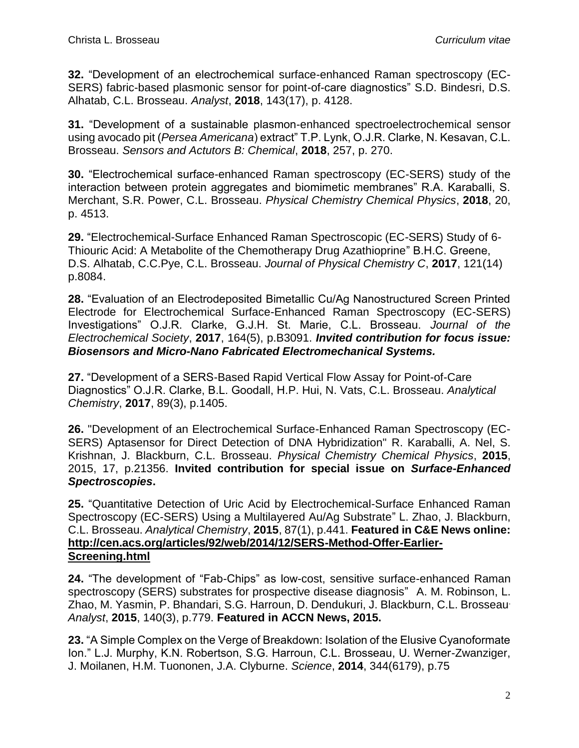**32.** "Development of an electrochemical surface-enhanced Raman spectroscopy (EC-SERS) fabric-based plasmonic sensor for point-of-care diagnostics" S.D. Bindesri, D.S. Alhatab, C.L. Brosseau. *Analyst*, **2018**, 143(17), p. 4128.

**31.** "Development of a sustainable plasmon-enhanced spectroelectrochemical sensor using avocado pit (*Persea Americana*) extract" T.P. Lynk, O.J.R. Clarke, N. Kesavan, C.L. Brosseau. *Sensors and Actutors B: Chemical*, **2018**, 257, p. 270.

**30.** "Electrochemical surface-enhanced Raman spectroscopy (EC-SERS) study of the interaction between protein aggregates and biomimetic membranes" R.A. Karaballi, S. Merchant, S.R. Power, C.L. Brosseau. *Physical Chemistry Chemical Physics*, **2018**, 20, p. 4513.

**29.** "Electrochemical-Surface Enhanced Raman Spectroscopic (EC-SERS) Study of 6- Thiouric Acid: A Metabolite of the Chemotherapy Drug Azathioprine" B.H.C. Greene, D.S. Alhatab, C.C.Pye, C.L. Brosseau. *Journal of Physical Chemistry C*, **2017**, 121(14) p.8084.

**28.** "Evaluation of an Electrodeposited Bimetallic Cu/Ag Nanostructured Screen Printed Electrode for Electrochemical Surface-Enhanced Raman Spectroscopy (EC-SERS) Investigations" O.J.R. Clarke, G.J.H. St. Marie, C.L. Brosseau. *Journal of the Electrochemical Society*, **2017**, 164(5), p.B3091. *Invited contribution for focus issue: Biosensors and Micro-Nano Fabricated Electromechanical Systems.*

**27.** "Development of a SERS-Based Rapid Vertical Flow Assay for Point-of-Care Diagnostics" O.J.R. Clarke, B.L. Goodall, H.P. Hui, N. Vats, C.L. Brosseau. *Analytical Chemistry*, **2017**, 89(3), p.1405.

**26.** "Development of an Electrochemical Surface-Enhanced Raman Spectroscopy (EC-SERS) Aptasensor for Direct Detection of DNA Hybridization" R. Karaballi, A. Nel, S. Krishnan, J. Blackburn, C.L. Brosseau. *Physical Chemistry Chemical Physics*, **2015**, 2015, 17, p.21356. **Invited contribution for special issue on** *Surface-Enhanced Spectroscopies***.**

**25.** "Quantitative Detection of Uric Acid by Electrochemical-Surface Enhanced Raman Spectroscopy (EC-SERS) Using a Multilayered Au/Ag Substrate" L. Zhao, J. Blackburn, C.L. Brosseau. *Analytical Chemistry*, **2015**, 87(1), p.441. **Featured in C&E News online: [http://cen.acs.org/articles/92/web/2014/12/SERS-Method-Offer-Earlier-](http://cen.acs.org/articles/92/web/2014/12/SERS-Method-Offer-Earlier-Screening.html)[Screening.html](http://cen.acs.org/articles/92/web/2014/12/SERS-Method-Offer-Earlier-Screening.html)**

**24.** "The development of "Fab-Chips" as low-cost, sensitive surface-enhanced Raman spectroscopy (SERS) substrates for prospective disease diagnosis"A. M. Robinson, L. Zhao, M. Yasmin, P. Bhandari, S.G. Harroun, D. Dendukuri, J. Blackburn, C.L. Brosseau. *Analyst*, **2015**, 140(3), p.779. **Featured in ACCN News, 2015.**

**23.** "A Simple Complex on the Verge of Breakdown: Isolation of the Elusive Cyanoformate Ion." L.J. Murphy, K.N. Robertson, S.G. Harroun, C.L. Brosseau, U. Werner-Zwanziger, J. Moilanen, H.M. Tuononen, J.A. Clyburne. *Science*, **2014**, 344(6179), p.75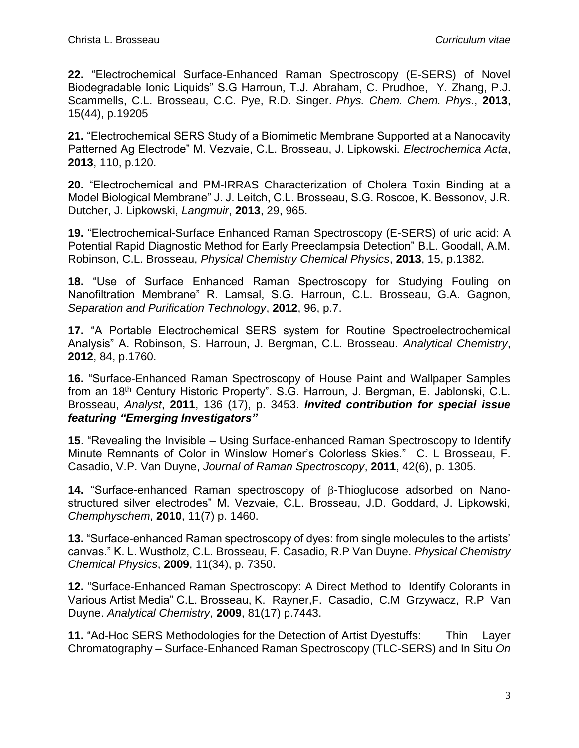**22.** "Electrochemical Surface-Enhanced Raman Spectroscopy (E-SERS) of Novel Biodegradable Ionic Liquids" S.G Harroun, T.J. [Abraham, C](http://www.ncbi.nlm.nih.gov/pubmed?term=Abraham%20TJ%5BAuthor%5D&cauthor=true&cauthor_uid=24108309). [Prudhoe,](http://www.ncbi.nlm.nih.gov/pubmed?term=Prudhoe%20C%5BAuthor%5D&cauthor=true&cauthor_uid=24108309) Y. [Zhang,](http://www.ncbi.nlm.nih.gov/pubmed?term=Zhang%20Y%5BAuthor%5D&cauthor=true&cauthor_uid=24108309) P.J. [Scammells,](http://www.ncbi.nlm.nih.gov/pubmed?term=Scammells%20PJ%5BAuthor%5D&cauthor=true&cauthor_uid=24108309) C.L. [Brosseau,](http://www.ncbi.nlm.nih.gov/pubmed?term=Brosseau%20CL%5BAuthor%5D&cauthor=true&cauthor_uid=24108309) C.C. [Pye,](http://www.ncbi.nlm.nih.gov/pubmed?term=Pye%20CC%5BAuthor%5D&cauthor=true&cauthor_uid=24108309) R.D. [Singer.](http://www.ncbi.nlm.nih.gov/pubmed?term=Singer%20RD%5BAuthor%5D&cauthor=true&cauthor_uid=24108309) *Phys. Chem. Chem. Phys*., **2013**, 15(44), p.19205

**21.** "Electrochemical SERS Study of a Biomimetic Membrane Supported at a Nanocavity Patterned Ag Electrode" M. Vezvaie, C.L. Brosseau, J. Lipkowski. *Electrochemica Acta*, **2013**, 110, p.120.

**20.** "Electrochemical and PM-IRRAS Characterization of Cholera Toxin Binding at a Model Biological Membrane" J. J. Leitch, C.L. Brosseau, S.G. Roscoe, K. Bessonov, J.R. Dutcher, J. Lipkowski, *Langmuir*, **2013**, 29, 965.

**19.** "Electrochemical-Surface Enhanced Raman Spectroscopy (E-SERS) of uric acid: A Potential Rapid Diagnostic Method for Early Preeclampsia Detection" B.L. Goodall, A.M. Robinson, C.L. Brosseau, *Physical Chemistry Chemical Physics*, **2013**, 15, p.1382.

**18.** "Use of Surface Enhanced Raman Spectroscopy for Studying Fouling on Nanofiltration Membrane" R. Lamsal, S.G. Harroun, C.L. Brosseau, G.A. Gagnon, *Separation and Purification Technology*, **2012**, 96, p.7.

**17.** "A Portable Electrochemical SERS system for Routine Spectroelectrochemical Analysis" A. Robinson, S. Harroun, J. Bergman, C.L. Brosseau. *Analytical Chemistry*, **2012**, 84, p.1760.

**16.** "Surface-Enhanced Raman Spectroscopy of House Paint and Wallpaper Samples from an 18th Century Historic Property". S.G. Harroun, J. Bergman, E. Jablonski, C.L. Brosseau, *Analyst*, **2011**, 136 (17), p. 3453. *Invited contribution for special issue featuring "Emerging Investigators"*

**15**. "Revealing the Invisible – Using Surface-enhanced Raman Spectroscopy to Identify Minute Remnants of Color in Winslow Homer's Colorless Skies." C. L Brosseau, F. Casadio, V.P. Van Duyne, *Journal of Raman Spectroscopy*, **2011**, 42(6), p. 1305.

**14.** "Surface-enhanced Raman spectroscopy of β-Thioglucose adsorbed on Nanostructured silver electrodes" M. Vezvaie, C.L. Brosseau, J.D. Goddard, J. Lipkowski, *Chemphyschem*, **2010**, 11(7) p. 1460.

**13.** "Surface-enhanced Raman spectroscopy of dyes: from single molecules to the artists' canvas." K. L. Wustholz, C.L. Brosseau, F. Casadio, R.P Van Duyne. *Physical Chemistry Chemical Physics*, **2009**, 11(34), p. 7350.

**12.** "Surface-Enhanced Raman Spectroscopy: A Direct Method to Identify Colorants in Various Artist Media" C.L. Brosseau, K. Rayner,F. Casadio, C.M Grzywacz, R.P Van Duyne. *Analytical Chemistry*, **2009**, 81(17) p.7443.

**11.** "Ad-Hoc SERS Methodologies for the Detection of Artist Dyestuffs: Thin Layer Chromatography – Surface-Enhanced Raman Spectroscopy (TLC-SERS) and In Situ *On*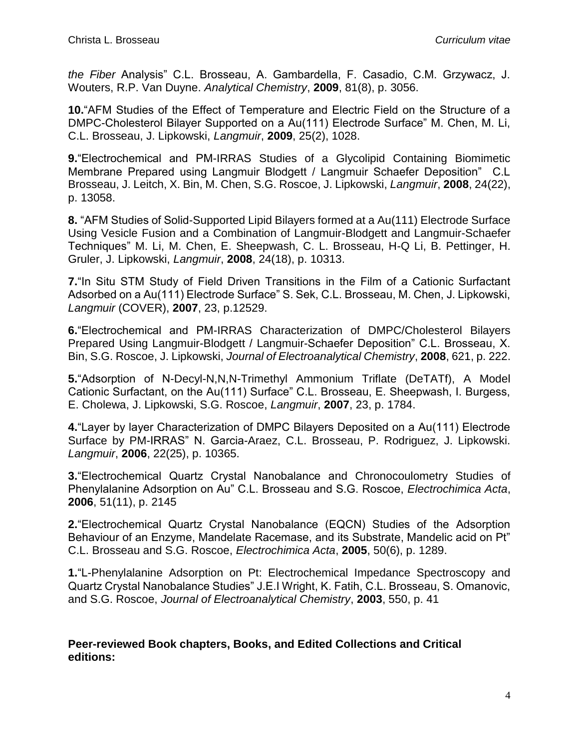*the Fiber* Analysis" C.L. Brosseau, A. Gambardella, F. Casadio, C.M. Grzywacz, J. Wouters, R.P. Van Duyne. *Analytical Chemistry*, **2009**, 81(8), p. 3056.

**10.**"AFM Studies of the Effect of Temperature and Electric Field on the Structure of a DMPC-Cholesterol Bilayer Supported on a Au(111) Electrode Surface" M. Chen, M. Li, C.L. Brosseau, J. Lipkowski, *Langmuir*, **2009**, 25(2), 1028.

**9.**"Electrochemical and PM-IRRAS Studies of a Glycolipid Containing Biomimetic Membrane Prepared using Langmuir Blodgett / Langmuir Schaefer Deposition" C.L Brosseau, J. Leitch, X. Bin, M. Chen, S.G. Roscoe, J. Lipkowski, *Langmuir*, **2008**, 24(22), p. 13058.

**8.** "AFM Studies of Solid-Supported Lipid Bilayers formed at a Au(111) Electrode Surface Using Vesicle Fusion and a Combination of Langmuir-Blodgett and Langmuir-Schaefer Techniques" M. Li, M. Chen, E. Sheepwash, C. L. Brosseau, H-Q Li, B. Pettinger, H. Gruler, J. Lipkowski, *Langmuir*, **2008**, 24(18), p. 10313.

**7.**"In Situ STM Study of Field Driven Transitions in the Film of a Cationic Surfactant Adsorbed on a Au(111) Electrode Surface" S. Sek, C.L. Brosseau, M. Chen, J. Lipkowski, *Langmuir* (COVER), **2007**, 23, p.12529.

**6.**"Electrochemical and PM-IRRAS Characterization of DMPC/Cholesterol Bilayers Prepared Using Langmuir-Blodgett / Langmuir-Schaefer Deposition" C.L. Brosseau, X. Bin, S.G. Roscoe, J. Lipkowski, *Journal of Electroanalytical Chemistry*, **2008**, 621, p. 222.

**5.**"Adsorption of N-Decyl-N,N,N-Trimethyl Ammonium Triflate (DeTATf), A Model Cationic Surfactant, on the Au(111) Surface" C.L. Brosseau, E. Sheepwash, I. Burgess, E. Cholewa, J. Lipkowski, S.G. Roscoe, *Langmuir*, **2007**, 23, p. 1784.

**4.**"Layer by layer Characterization of DMPC Bilayers Deposited on a Au(111) Electrode Surface by PM-IRRAS" N. Garcia-Araez, C.L. Brosseau, P. Rodriguez, J. Lipkowski. *Langmuir*, **2006**, 22(25), p. 10365.

**3.**"Electrochemical Quartz Crystal Nanobalance and Chronocoulometry Studies of Phenylalanine Adsorption on Au" C.L. Brosseau and S.G. Roscoe, *Electrochimica Acta*, **2006**, 51(11), p. 2145

**2.**"Electrochemical Quartz Crystal Nanobalance (EQCN) Studies of the Adsorption Behaviour of an Enzyme, Mandelate Racemase, and its Substrate, Mandelic acid on Pt" C.L. Brosseau and S.G. Roscoe, *Electrochimica Acta*, **2005**, 50(6), p. 1289.

**1.**"L-Phenylalanine Adsorption on Pt: Electrochemical Impedance Spectroscopy and Quartz Crystal Nanobalance Studies" J.E.I Wright, K. Fatih, C.L. Brosseau, S. Omanovic, and S.G. Roscoe, *Journal of Electroanalytical Chemistry*, **2003**, 550, p. 41

**Peer-reviewed Book chapters, Books, and Edited Collections and Critical editions:**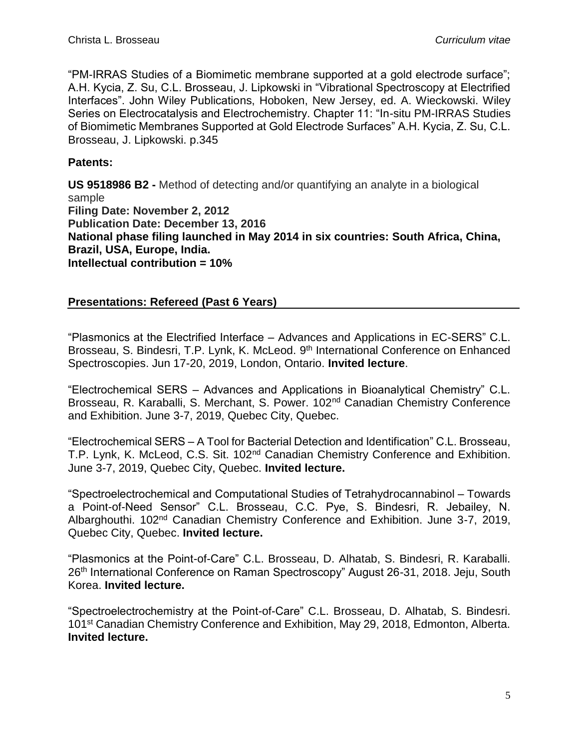"PM-IRRAS Studies of a Biomimetic membrane supported at a gold electrode surface"; A.H. Kycia, Z. Su, C.L. Brosseau, J. Lipkowski in "Vibrational Spectroscopy at Electrified Interfaces". John Wiley Publications, Hoboken, New Jersey, ed. A. Wieckowski. Wiley Series on Electrocatalysis and Electrochemistry. Chapter 11: "In-situ PM-IRRAS Studies of Biomimetic Membranes Supported at Gold Electrode Surfaces" A.H. Kycia, Z. Su, C.L. Brosseau, J. Lipkowski. p.345

### **Patents:**

**US 9518986 B2 -** Method of detecting and/or quantifying an analyte in a biological sample **Filing Date: November 2, 2012 Publication Date: December 13, 2016 National phase filing launched in May 2014 in six countries: South Africa, China, Brazil, USA, Europe, India. Intellectual contribution = 10%**

## **Presentations: Refereed (Past 6 Years)**

"Plasmonics at the Electrified Interface – Advances and Applications in EC-SERS" C.L. Brosseau, S. Bindesri, T.P. Lynk, K. McLeod. 9<sup>th</sup> International Conference on Enhanced Spectroscopies. Jun 17-20, 2019, London, Ontario. **Invited lecture**.

"Electrochemical SERS – Advances and Applications in Bioanalytical Chemistry" C.L. Brosseau, R. Karaballi, S. Merchant, S. Power. 102<sup>nd</sup> Canadian Chemistry Conference and Exhibition. June 3-7, 2019, Quebec City, Quebec.

"Electrochemical SERS – A Tool for Bacterial Detection and Identification" C.L. Brosseau, T.P. Lynk, K. McLeod, C.S. Sit. 102nd Canadian Chemistry Conference and Exhibition. June 3-7, 2019, Quebec City, Quebec. **Invited lecture.**

"Spectroelectrochemical and Computational Studies of Tetrahydrocannabinol – Towards a Point-of-Need Sensor" C.L. Brosseau, C.C. Pye, S. Bindesri, R. Jebailey, N. Albarghouthi. 102nd Canadian Chemistry Conference and Exhibition. June 3-7, 2019, Quebec City, Quebec. **Invited lecture.**

"Plasmonics at the Point-of-Care" C.L. Brosseau, D. Alhatab, S. Bindesri, R. Karaballi. 26<sup>th</sup> International Conference on Raman Spectroscopy" August 26-31, 2018. Jeju, South Korea. **Invited lecture.**

"Spectroelectrochemistry at the Point-of-Care" C.L. Brosseau, D. Alhatab, S. Bindesri. 101<sup>st</sup> Canadian Chemistry Conference and Exhibition, May 29, 2018, Edmonton, Alberta. **Invited lecture.**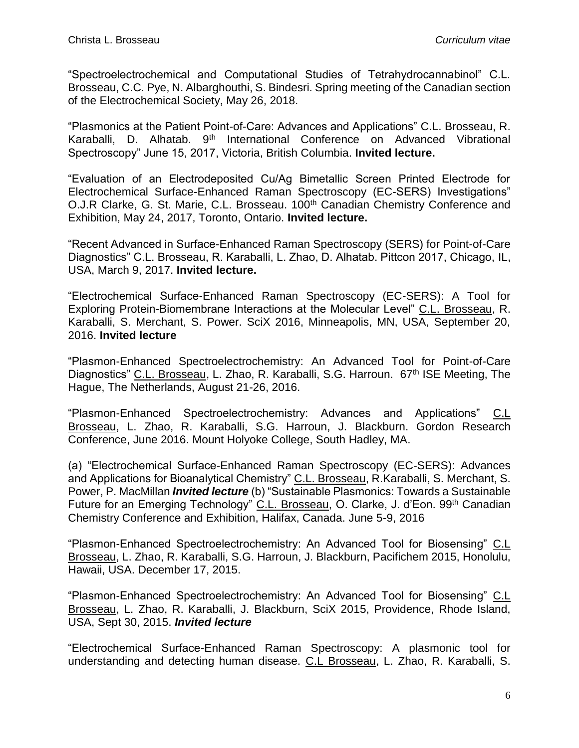"Spectroelectrochemical and Computational Studies of Tetrahydrocannabinol" C.L. Brosseau, C.C. Pye, N. Albarghouthi, S. Bindesri. Spring meeting of the Canadian section of the Electrochemical Society, May 26, 2018.

"Plasmonics at the Patient Point-of-Care: Advances and Applications" C.L. Brosseau, R. Karaballi, D. Alhatab. 9<sup>th</sup> International Conference on Advanced Vibrational Spectroscopy" June 15, 2017, Victoria, British Columbia. **Invited lecture.**

"Evaluation of an Electrodeposited Cu/Ag Bimetallic Screen Printed Electrode for Electrochemical Surface-Enhanced Raman Spectroscopy (EC-SERS) Investigations" O.J.R Clarke, G. St. Marie, C.L. Brosseau. 100<sup>th</sup> Canadian Chemistry Conference and Exhibition, May 24, 2017, Toronto, Ontario. **Invited lecture.**

"Recent Advanced in Surface-Enhanced Raman Spectroscopy (SERS) for Point-of-Care Diagnostics" C.L. Brosseau, R. Karaballi, L. Zhao, D. Alhatab. Pittcon 2017, Chicago, IL, USA, March 9, 2017. **Invited lecture.**

"Electrochemical Surface-Enhanced Raman Spectroscopy (EC-SERS): A Tool for Exploring Protein-Biomembrane Interactions at the Molecular Level" C.L. Brosseau, R. Karaballi, S. Merchant, S. Power. SciX 2016, Minneapolis, MN, USA, September 20, 2016. **Invited lecture**

"Plasmon-Enhanced Spectroelectrochemistry: An Advanced Tool for Point-of-Care Diagnostics" C.L. Brosseau, L. Zhao, R. Karaballi, S.G. Harroun. 67<sup>th</sup> ISE Meeting, The Hague, The Netherlands, August 21-26, 2016.

"Plasmon-Enhanced Spectroelectrochemistry: Advances and Applications" C.L Brosseau, L. Zhao, R. Karaballi, S.G. Harroun, J. Blackburn. Gordon Research Conference, June 2016. Mount Holyoke College, South Hadley, MA.

(a) "Electrochemical Surface-Enhanced Raman Spectroscopy (EC-SERS): Advances and Applications for Bioanalytical Chemistry" C.L. Brosseau, R.Karaballi, S. Merchant, S. Power, P. MacMillan *Invited lecture* (b) "Sustainable Plasmonics: Towards a Sustainable Future for an Emerging Technology" C.L. Brosseau, O. Clarke, J. d'Eon. 99<sup>th</sup> Canadian Chemistry Conference and Exhibition, Halifax, Canada. June 5-9, 2016

"Plasmon-Enhanced Spectroelectrochemistry: An Advanced Tool for Biosensing" C.L Brosseau, L. Zhao, R. Karaballi, S.G. Harroun, J. Blackburn, Pacifichem 2015, Honolulu, Hawaii, USA. December 17, 2015.

"Plasmon-Enhanced Spectroelectrochemistry: An Advanced Tool for Biosensing" C.L Brosseau, L. Zhao, R. Karaballi, J. Blackburn, SciX 2015, Providence, Rhode Island, USA, Sept 30, 2015. *Invited lecture*

"Electrochemical Surface-Enhanced Raman Spectroscopy: A plasmonic tool for understanding and detecting human disease. C.L Brosseau, L. Zhao, R. Karaballi, S.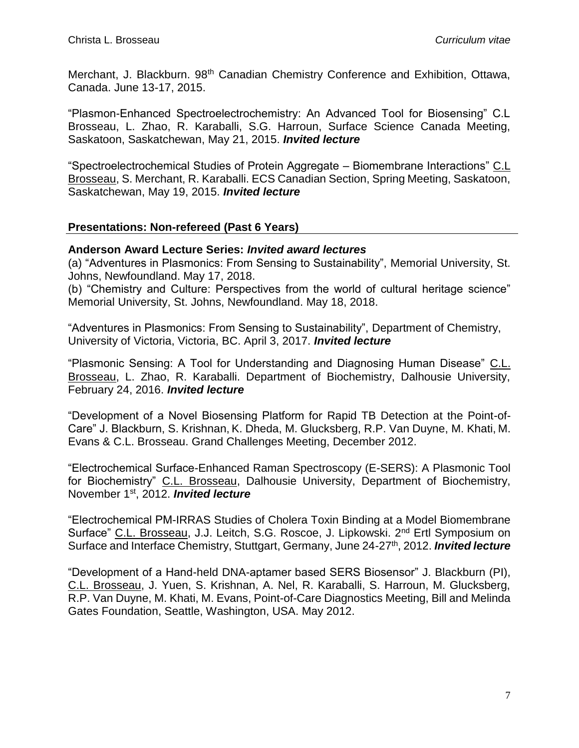Merchant, J. Blackburn. 98<sup>th</sup> Canadian Chemistry Conference and Exhibition, Ottawa, Canada. June 13-17, 2015.

"Plasmon-Enhanced Spectroelectrochemistry: An Advanced Tool for Biosensing" C.L Brosseau, L. Zhao, R. Karaballi, S.G. Harroun, Surface Science Canada Meeting, Saskatoon, Saskatchewan, May 21, 2015. *Invited lecture*

"Spectroelectrochemical Studies of Protein Aggregate – Biomembrane Interactions" C.L Brosseau, S. Merchant, R. Karaballi. ECS Canadian Section, Spring Meeting, Saskatoon, Saskatchewan, May 19, 2015. *Invited lecture*

#### **Presentations: Non-refereed (Past 6 Years)**

#### **Anderson Award Lecture Series:** *Invited award lectures*

(a) "Adventures in Plasmonics: From Sensing to Sustainability", Memorial University, St. Johns, Newfoundland. May 17, 2018.

(b) "Chemistry and Culture: Perspectives from the world of cultural heritage science" Memorial University, St. Johns, Newfoundland. May 18, 2018.

"Adventures in Plasmonics: From Sensing to Sustainability", Department of Chemistry, University of Victoria, Victoria, BC. April 3, 2017. *Invited lecture*

"Plasmonic Sensing: A Tool for Understanding and Diagnosing Human Disease" C.L. Brosseau, L. Zhao, R. Karaballi. Department of Biochemistry, Dalhousie University, February 24, 2016. *Invited lecture*

"Development of a Novel Biosensing Platform for Rapid TB Detection at the Point-of-Care" J. Blackburn, S. Krishnan, K. Dheda, M. Glucksberg, R.P. Van Duyne, M. Khati, M. Evans & C.L. Brosseau. Grand Challenges Meeting, December 2012.

"Electrochemical Surface-Enhanced Raman Spectroscopy (E-SERS): A Plasmonic Tool for Biochemistry" C.L. Brosseau, Dalhousie University, Department of Biochemistry, November 1st, 2012. *Invited lecture*

"Electrochemical PM-IRRAS Studies of Cholera Toxin Binding at a Model Biomembrane Surface" C.L. Brosseau, J.J. Leitch, S.G. Roscoe, J. Lipkowski. 2<sup>nd</sup> Ertl Symposium on Surface and Interface Chemistry, Stuttgart, Germany, June 24-27<sup>th</sup>, 2012. **Invited lecture** 

"Development of a Hand-held DNA-aptamer based SERS Biosensor" J. Blackburn (PI), C.L. Brosseau, J. Yuen, S. Krishnan, A. Nel, R. Karaballi, S. Harroun, M. Glucksberg, R.P. Van Duyne, M. Khati, M. Evans, Point-of-Care Diagnostics Meeting, Bill and Melinda Gates Foundation, Seattle, Washington, USA. May 2012.